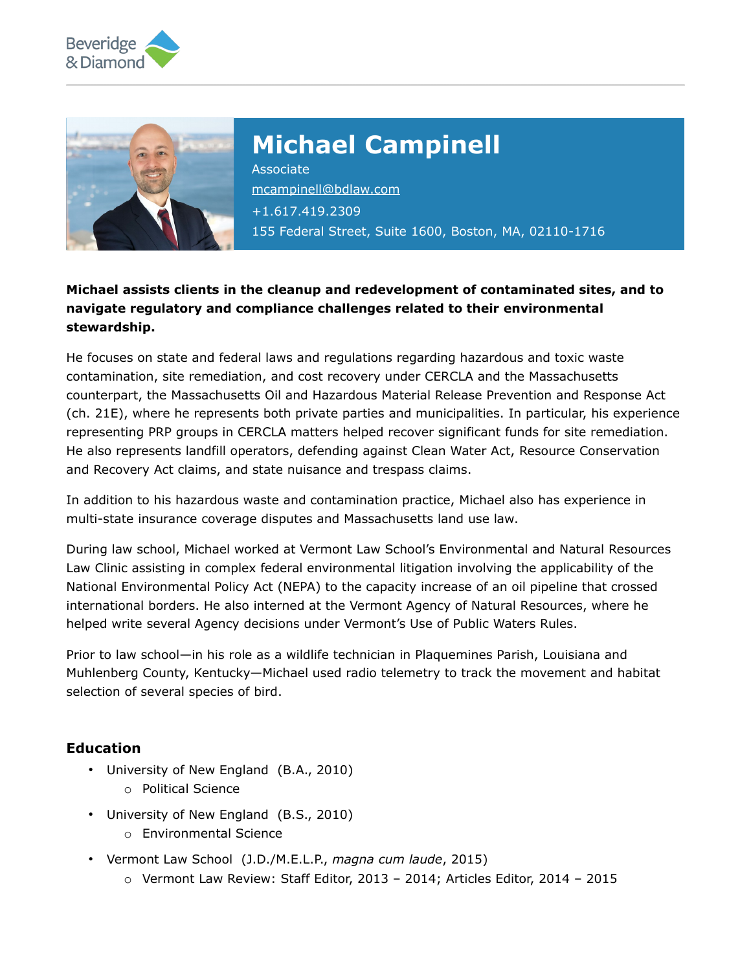



# **Michael Campinell**

Associate [mcampinell@bdlaw.com](mailto:mcampinell@bdlaw.com) +1.617.419.2309 155 Federal Street, Suite 1600, Boston, MA, 02110-1716

### **Michael assists clients in the cleanup and redevelopment of contaminated sites, and to navigate regulatory and compliance challenges related to their environmental stewardship.**

He focuses on state and federal laws and regulations regarding hazardous and toxic waste contamination, site remediation, and cost recovery under CERCLA and the Massachusetts counterpart, the Massachusetts Oil and Hazardous Material Release Prevention and Response Act (ch. 21E), where he represents both private parties and municipalities. In particular, his experience representing PRP groups in CERCLA matters helped recover significant funds for site remediation. He also represents landfill operators, defending against Clean Water Act, Resource Conservation and Recovery Act claims, and state nuisance and trespass claims.

In addition to his hazardous waste and contamination practice, Michael also has experience in multi-state insurance coverage disputes and Massachusetts land use law.

During law school, Michael worked at Vermont Law School's Environmental and Natural Resources Law Clinic assisting in complex federal environmental litigation involving the applicability of the National Environmental Policy Act (NEPA) to the capacity increase of an oil pipeline that crossed international borders. He also interned at the Vermont Agency of Natural Resources, where he helped write several Agency decisions under Vermont's Use of Public Waters Rules.

Prior to law school—in his role as a wildlife technician in Plaquemines Parish, Louisiana and Muhlenberg County, Kentucky—Michael used radio telemetry to track the movement and habitat selection of several species of bird.

## **Education**

- University of New England (B.A., 2010)
	- o Political Science
- University of New England (B.S., 2010)
	- o Environmental Science
- Vermont Law School (J.D./M.E.L.P., *magna cum laude*, 2015)
	- o Vermont Law Review: Staff Editor, 2013 2014; Articles Editor, 2014 2015